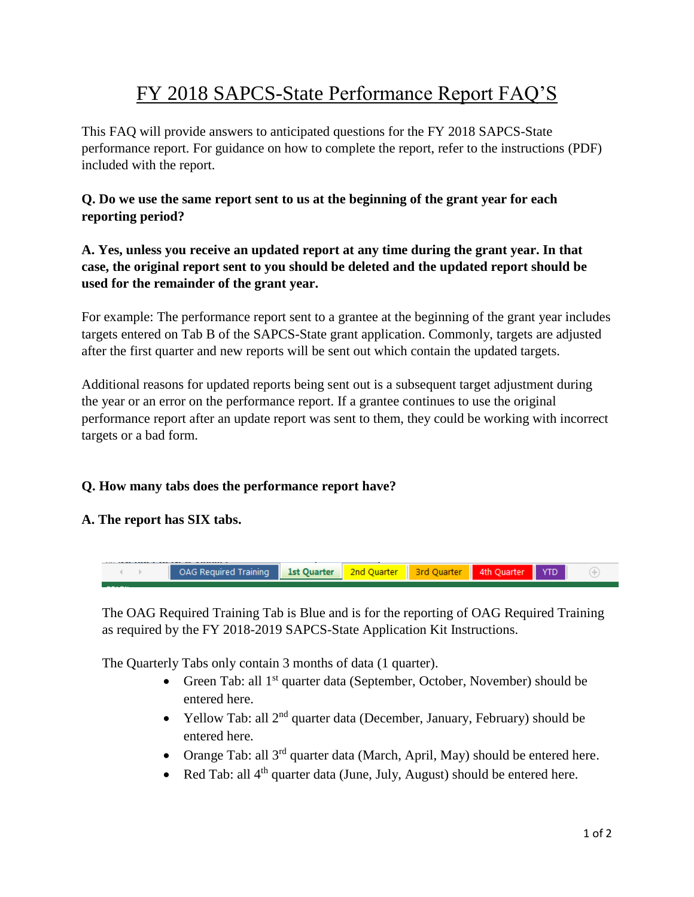# FY 2018 SAPCS-State Performance Report FAQ'S

This FAQ will provide answers to anticipated questions for the FY 2018 SAPCS-State performance report. For guidance on how to complete the report, refer to the instructions (PDF) included with the report.

# **Q. Do we use the same report sent to us at the beginning of the grant year for each reporting period?**

# **A. Yes, unless you receive an updated report at any time during the grant year. In that case, the original report sent to you should be deleted and the updated report should be used for the remainder of the grant year.**

For example: The performance report sent to a grantee at the beginning of the grant year includes targets entered on Tab B of the SAPCS-State grant application. Commonly, targets are adjusted after the first quarter and new reports will be sent out which contain the updated targets.

Additional reasons for updated reports being sent out is a subsequent target adjustment during the year or an error on the performance report. If a grantee continues to use the original performance report after an update report was sent to them, they could be working with incorrect targets or a bad form.

# **Q. How many tabs does the performance report have?**

#### **A. The report has SIX tabs.**



The OAG Required Training Tab is Blue and is for the reporting of OAG Required Training as required by the FY 2018-2019 SAPCS-State Application Kit Instructions.

The Quarterly Tabs only contain 3 months of data (1 quarter).

- Green Tab: all  $1<sup>st</sup>$  quarter data (September, October, November) should be entered here.
- Yellow Tab: all  $2^{nd}$  quarter data (December, January, February) should be entered here.
- Orange Tab: all  $3^{rd}$  quarter data (March, April, May) should be entered here.
- Red Tab: all 4<sup>th</sup> quarter data (June, July, August) should be entered here.